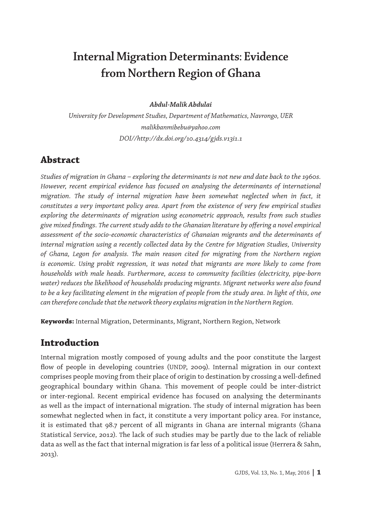# **Internal Migration Determinants: Evidence from Northern Region of Ghana**

*Abdul-Malik Abdulai*

*University for Development Studies, Department of Mathematics, Navrongo, UER malikbanmibebu@yahoo.com DOI//http://dx.doi.org/10.4314/gjds.v13i1.1*

## **Abstract**

*Studies of migration in Ghana – exploring the determinants is not new and date back to the 1960s. However, recent empirical evidence has focused on analysing the determinants of international migration. The study of internal migration have been somewhat neglected when in fact, it constitutes a very important policy area. Apart from the existence of very few empirical studies exploring the determinants of migration using econometric approach, results from such studies give mixed findings. The current study adds to the Ghanaian literature by offering a novel empirical assessment of the socio-economic characteristics of Ghanaian migrants and the determinants of internal migration using a recently collected data by the Centre for Migration Studies, University of Ghana, Legon for analysis. The main reason cited for migrating from the Northern region is economic. Using probit regression, it was noted that migrants are more likely to come from households with male heads. Furthermore, access to community facilities (electricity, pipe-born water) reduces the likelihood of households producing migrants. Migrant networks were also found to be a key facilitating element in the migration of people from the study area. In light of this, one can therefore conclude that the network theory explains migration in the Northern Region.*

**Keywords:** Internal Migration, Determinants, Migrant, Northern Region, Network

## **Introduction**

Internal migration mostly composed of young adults and the poor constitute the largest flow of people in developing countries (UNDP, 2009). Internal migration in our context comprises people moving from their place of origin to destination by crossing a well-defined geographical boundary within Ghana. This movement of people could be inter-district or inter-regional. Recent empirical evidence has focused on analysing the determinants as well as the impact of international migration. The study of internal migration has been somewhat neglected when in fact, it constitute a very important policy area. For instance, it is estimated that 98.7 percent of all migrants in Ghana are internal migrants (Ghana Statistical Service, 2012). The lack of such studies may be partly due to the lack of reliable data as well as the fact that internal migration is far less of a political issue (Herrera & Sahn, 2013).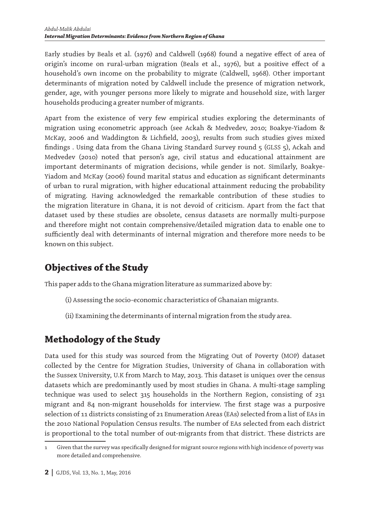Early studies by Beals et al. (1976) and Caldwell (1968) found a negative effect of area of origin's income on rural-urban migration (Beals et al., 1976), but a positive effect of a household's own income on the probability to migrate (Caldwell, 1968). Other important determinants of migration noted by Caldwell include the presence of migration network, gender, age, with younger persons more likely to migrate and household size, with larger households producing a greater number of migrants.

Apart from the existence of very few empirical studies exploring the determinants of migration using econometric approach (see Ackah & Medvedev, 2010; Boakye-Yiadom & McKay, 2006 and Waddington & Lichfield, 2003), results from such studies gives mixed findings . Using data from the Ghana Living Standard Survey round 5 (GLSS 5), Ackah and Medvedev (2010) noted that person's age, civil status and educational attainment are important determinants of migration decisions, while gender is not. Similarly, Boakye-Yiadom and McKay (2006) found marital status and education as significant determinants of urban to rural migration, with higher educational attainment reducing the probability of migrating. Having acknowledged the remarkable contribution of these studies to the migration literature in Ghana, it is not devoid of criticism. Apart from the fact that dataset used by these studies are obsolete, census datasets are normally multi-purpose and therefore might not contain comprehensive/detailed migration data to enable one to sufficiently deal with determinants of internal migration and therefore more needs to be known on this subject.

## **Objectives of the Study**

This paper adds to the Ghana migration literature as summarized above by:

- (i) Assessing the socio-economic characteristics of Ghanaian migrants.
- (ii) Examining the determinants of internal migration from the study area.

## **Methodology of the Study**

Data used for this study was sourced from the Migrating Out of Poverty (MOP) dataset collected by the Centre for Migration Studies, University of Ghana in collaboration with the Sussex University, U.K from March to May, 2013. This dataset is unique1 over the census datasets which are predominantly used by most studies in Ghana. A multi-stage sampling technique was used to select 315 households in the Northern Region, consisting of 231 migrant and 84 non-migrant households for interview. The first stage was a purposive selection of 11 districts consisting of 21 Enumeration Areas (EAs) selected from a list of EAs in the 2010 National Population Census results. The number of EAs selected from each district is proportional to the total number of out-migrants from that district. These districts are

<sup>1</sup> Given that the survey was specifically designed for migrant source regions with high incidence of poverty was more detailed and comprehensive.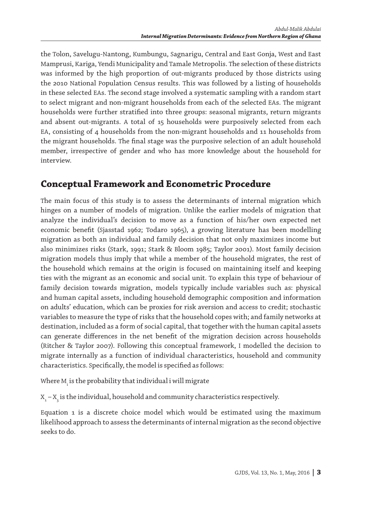the Tolon, Savelugu-Nantong, Kumbungu, Sagnarigu, Central and East Gonja, West and East Mamprusi, Kariga, Yendi Municipality and Tamale Metropolis. The selection of these districts was informed by the high proportion of out-migrants produced by those districts using the 2010 National Population Census results. This was followed by a listing of households in these selected EAs. The second stage involved a systematic sampling with a random start to select migrant and non-migrant households from each of the selected EAs. The migrant households were further stratified into three groups: seasonal migrants, return migrants and absent out-migrants. A total of 15 households were purposively selected from each EA, consisting of 4 households from the non-migrant households and 11 households from the migrant households. The final stage was the purposive selection of an adult household member, irrespective of gender and who has more knowledge about the household for interview.

#### **Conceptual Framework and Econometric Procedure**

The main focus of this study is to assess the determinants of internal migration which hinges on a number of models of migration. Unlike the earlier models of migration that analyze the individual's decision to move as a function of his/her own expected net economic benefit (Sjasstad 1962; Todaro 1965), a growing literature has been modelling migration as both an individual and family decision that not only maximizes income but also minimizes risks (Stark, 1991; Stark & Bloom 1985; Taylor 2001). Most family decision migration models thus imply that while a member of the household migrates, the rest of the household which remains at the origin is focused on maintaining itself and keeping ties with the migrant as an economic and social unit. To explain this type of behaviour of family decision towards migration, models typically include variables such as: physical and human capital assets, including household demographic composition and information on adults' education, which can be proxies for risk aversion and access to credit; stochastic variables to measure the type of risks that the household copes with; and family networks at destination, included as a form of social capital, that together with the human capital assets can generate differences in the net benefit of the migration decision across households (Ritcher & Taylor 2007). Following this conceptual framework, I modelled the decision to migrate internally as a function of individual characteristics, household and community characteristics. Specifically, the model is specified as follows:

Where  $\textsf{M}_{\textup{i}}$  is the probability that individual i will migrate

 $X_{\overline{\text{1}}}$  –  $X_{\overline{\text{3}}}$  is the individual, household and community characteristics respectively.

Equation 1 is a discrete choice model which would be estimated using the maximum likelihood approach to assess the determinants of internal migration as the second objective seeks to do.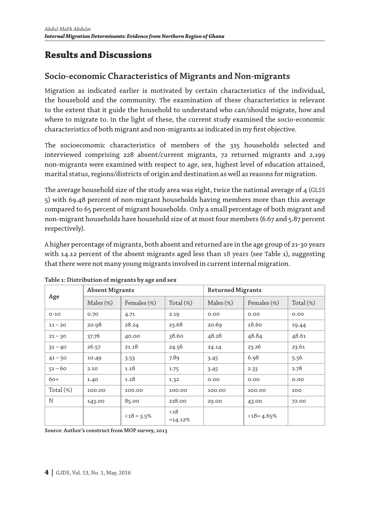## **Results and Discussions**

#### **Socio-economic Characteristics of Migrants and Non-migrants**

Migration as indicated earlier is motivated by certain characteristics of the individual, the household and the community. The examination of these characteristics is relevant to the extent that it guide the household to understand who can/should migrate, how and where to migrate to. In the light of these, the current study examined the socio-economic characteristics of both migrant and non-migrants as indicated in my first objective.

The socioeconomic characteristics of members of the 315 households selected and interviewed comprising 228 absent/current migrants, 72 returned migrants and 2,199 non-migrants were examined with respect to age, sex, highest level of education attained, marital status, regions/districts of origin and destination as well as reasons for migration.

The average household size of the study area was eight, twice the national average of 4 (GLSS 5) with 69.48 percent of non-migrant households having members more than this average compared to 65 percent of migrant households. Only a small percentage of both migrant and non-migrant households have household size of at most four members (6.67 and 5.87 percent respectively).

A higher percentage of migrants, both absent and returned are in the age group of 21-30 years with 14.12 percent of the absent migrants aged less than 18 years (see Table 1), suggesting that there were not many young migrants involved in current internal migration.

|              | <b>Absent Migrants</b> |              |                    | <b>Returned Migrants</b> |                |              |  |
|--------------|------------------------|--------------|--------------------|--------------------------|----------------|--------------|--|
| Age          | Males $(\%)$           | Females (%)  | Total $(\%)$       | Males $(\%)$             | Females $(\%)$ | Total $(\%)$ |  |
| $O-1O$       | 0.70                   | 4.71         | 2.19               | 0.00                     | 0.00           | 0.00         |  |
| $11 - 20$    | 20.98                  | 28.24        | 23.68              | 20.69                    | 18.60          | 19.44        |  |
| $21 - 30$    | 37.76                  | 40.00        | 38.60              | 48.28                    | 48.84          | 48.61        |  |
| $31 - 40$    | 26.57                  | 21.18        | 24.56              | 24.14                    | 23.26          | 23.61        |  |
| $41 - 50$    | 10.49                  | 3.53         | 7.89               | 3.45                     | 6.98           | 5.56         |  |
| $51 - 60$    | 2.10                   | 1.18         | 1.75               | 3.45                     | 2.33           | 2.78         |  |
| $60+$        | 1.40                   | 1.18         | 1.32               | 0.00                     | 0.00           | 0.00         |  |
| Total $(\%)$ | 100.00                 | 100.00       | 100.00             | 100.00                   | 100.00         | 100          |  |
| N            | 143.00                 | 85.00        | 228.00             | 29.00                    | 43.00          | 72.00        |  |
|              |                        | $18 = 3.5\%$ | $18$<br>$=14.12\%$ |                          | $<18=4.65\%$   |              |  |

**Table 1: Distribution of migrants by age and sex**

**Source: Author's construct from MOP survey, 2013**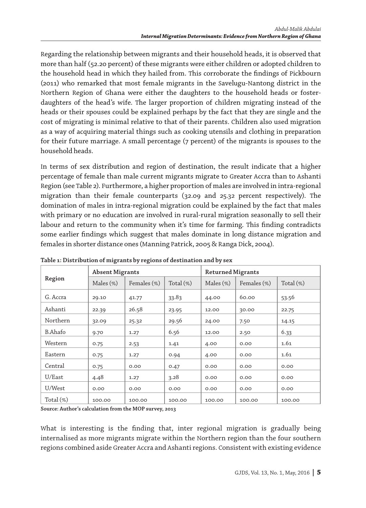Regarding the relationship between migrants and their household heads, it is observed that more than half (52.20 percent) of these migrants were either children or adopted children to the household head in which they hailed from. This corroborate the findings of Pickbourn (2011) who remarked that most female migrants in the Savelugu-Nantong district in the Northern Region of Ghana were either the daughters to the household heads or fosterdaughters of the head's wife. The larger proportion of children migrating instead of the heads or their spouses could be explained perhaps by the fact that they are single and the cost of migrating is minimal relative to that of their parents. Children also used migration as a way of acquiring material things such as cooking utensils and clothing in preparation for their future marriage. A small percentage (7 percent) of the migrants is spouses to the household heads.

In terms of sex distribution and region of destination, the result indicate that a higher percentage of female than male current migrants migrate to Greater Accra than to Ashanti Region (see Table 2). Furthermore, a higher proportion of males are involved in intra-regional migration than their female counterparts (32.09 and 25.32 percent respectively). The domination of males in intra-regional migration could be explained by the fact that males with primary or no education are involved in rural-rural migration seasonally to sell their labour and return to the community when it's time for farming. This finding contradicts some earlier findings which suggest that males dominate in long distance migration and females in shorter distance ones (Manning Patrick, 2005 & Ranga Dick, 2004).

| Region       |              | <b>Absent Migrants</b> |              |              | <b>Returned Migrants</b> |              |  |  |  |
|--------------|--------------|------------------------|--------------|--------------|--------------------------|--------------|--|--|--|
|              | Males $(\%)$ | Females $(\%)$         | Total $(\%)$ | Males $(\%)$ | Females $(\%)$           | Total $(\%)$ |  |  |  |
| G. Accra     | 29.10        | 41.77                  | 33.83        | 44.00        | 60.00                    | 53.56        |  |  |  |
| Ashanti      | 22.39        | 26.58                  | 23.95        | 12.00        | 30.00                    | 22.75        |  |  |  |
| Northern     | 32.09        | 25.32                  | 29.56        | 24.00        | 7.50                     | 14.15        |  |  |  |
| B.Ahafo      | 9.70         | 1.27                   | 6.56         | 12.00        | 2.50                     | 6.33         |  |  |  |
| Western      | 0.75         | 2.53                   | 1.41         | 4.00         | 0.00                     | 1.61         |  |  |  |
| Eastern      | 0.75         | 1.27                   | 0.94         | 4.00         | 0.00                     | 1.61         |  |  |  |
| Central      | 0.75         | 0.00                   | 0.47         | 0.00         | 0.00                     | 0.00         |  |  |  |
| U/East       | 4.48         | 1.27                   | 3.28         | 0.00         | 0.00                     | 0.00         |  |  |  |
| U/West       | 0.00         | 0.00                   | 0.00         | 0.00         | 0.00                     | 0.00         |  |  |  |
| Total $(\%)$ | 100.00       | 100.00                 | 100.00       | 100.00       | 100.00                   | 100.00       |  |  |  |

**Table 1: Distribution of migrants by regions of destination and by sex**

**Source: Author's calculation from the MOP survey, 2013**

What is interesting is the finding that, inter regional migration is gradually being internalised as more migrants migrate within the Northern region than the four southern regions combined aside Greater Accra and Ashanti regions. Consistent with existing evidence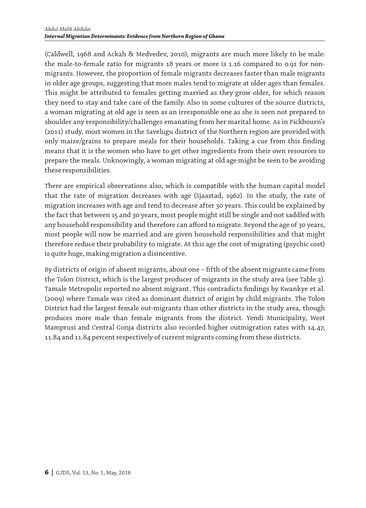(Caldwell, 1968 and Ackah & Medvedev, 2010), migrants are much more likely to be male: the male-to-female ratio for migrants 18 years or more is 1.16 compared to 0.91 for nonmigrants. However, the proportion of female migrants decreases faster than male migrants in older age groups, suggesting that more males tend to migrate at older ages than females. This might be attributed to females getting married as they grow older, for which reason they need to stay and take care of the family. Also in some cultures of the source districts, a woman migrating at old age is seen as an irresponsible one as she is seen not prepared to shoulder any responsibility/challenges emanating from her marital home. As in Pickbourn's (2011) study, most women in the Savelugu district of the Northern region are provided with only maize/grains to prepare meals for their households. Taking a cue from this finding means that it is the women who have to get other ingredients from their own resources to prepare the meals. Unknowingly, a woman migrating at old age might be seen to be avoiding these responsibilities.

There are empirical observations also, which is compatible with the human capital model that the rate of migration decreases with age (Sjaastad, 1962). In the study, the rate of migration increases with age and tend to decrease after 30 years. This could be explained by the fact that between 15 and 30 years, most people might still be single and not saddled with any household responsibility and therefore can afford to migrate. Beyond the age of 30 years, most people will now be married and are given household responsibilities and that might therefore reduce their probability to migrate. At this age the cost of migrating (psychic cost) is quite huge, making migration a disincentive.

By districts of origin of absent migrants, about one – fifth of the absent migrants came from the Tolon District, which is the largest producer of migrants in the study area (see Table 3). Tamale Metropolis reported no absent migrant. This contradicts findings by Kwankye et al. (2009) where Tamale was cited as dominant district of origin by child migrants. The Tolon District had the largest female out-migrants than other districts in the study area, though produces more male than female migrants from the district. Yendi Municipality, West Mamprusi and Central Gonja districts also recorded higher outmigration rates with 14.47, 11.84 and 11.84 percent respectively of current migrants coming from these districts.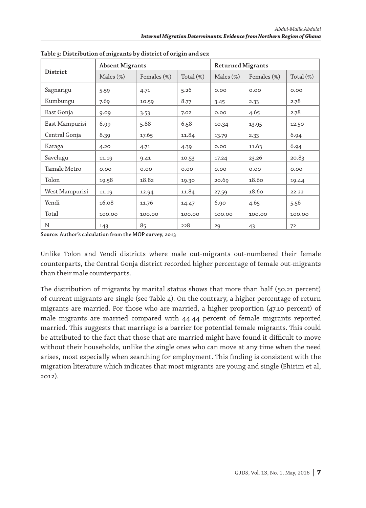|                | <b>Absent Migrants</b> |             |              | <b>Returned Migrants</b> |                |              |  |
|----------------|------------------------|-------------|--------------|--------------------------|----------------|--------------|--|
| District       | Males (%)              | Females (%) | Total $(\%)$ | Males $(\%)$             | Females $(\%)$ | Total $(\%)$ |  |
| Sagnarigu      | 5.59                   | 4.71        | 5.26         | 0.00                     | 0.00           | 0.00         |  |
| Kumbungu       | 7.69                   | 10.59       | 8.77         | 3.45                     | 2.33           | 2.78         |  |
| East Gonja     | 9.09                   | 3.53        | 7.02         | 0.00                     | 4.65           | 2.78         |  |
| East Mampurisi | 6.99                   | 5.88        | 6.58         | 10.34                    | 13.95          | 12.50        |  |
| Central Gonja  | 8.39                   | 17.65       | 11.84        | 13.79                    | 2.33           | 6.94         |  |
| Karaga         | 4.20                   | 4.71        | 4.39         | 0.00                     | 11.63          | 6.94         |  |
| Savelugu       | 11.19                  | 9.41        | 10.53        | 17.24                    | 23.26          | 20.83        |  |
| Tamale Metro   | 0.00                   | 0.00        | 0.00         | 0.00                     | 0.00           | 0.00         |  |
| Tolon          | 19.58                  | 18.82       | 19.30        | 20.69                    | 18.60          | 19.44        |  |
| West Mampurisi | 11.19                  | 12.94       | 11.84        | 27.59                    | 18.60          | 22.22        |  |
| Yendi          | 16.08                  | 11.76       | 14.47        | 6.90                     | 4.65           | 5.56         |  |
| Total          | 100.00                 | 100.00      | 100.00       | 100.00                   | 100.00         | 100.00       |  |
| Ν              | 143                    | 85          | 228          | 29                       | 43             | 72           |  |

**Table 3: Distribution of migrants by district of origin and sex**

**Source: Author's calculation from the MOP survey, 2013**

Unlike Tolon and Yendi districts where male out-migrants out-numbered their female counterparts, the Central Gonja district recorded higher percentage of female out-migrants than their male counterparts.

The distribution of migrants by marital status shows that more than half (50.21 percent) of current migrants are single (see Table 4). On the contrary, a higher percentage of return migrants are married. For those who are married, a higher proportion (47.10 percent) of male migrants are married compared with 44.44 percent of female migrants reported married. This suggests that marriage is a barrier for potential female migrants. This could be attributed to the fact that those that are married might have found it difficult to move without their households, unlike the single ones who can move at any time when the need arises, most especially when searching for employment. This finding is consistent with the migration literature which indicates that most migrants are young and single (Ehirim et al, 2012).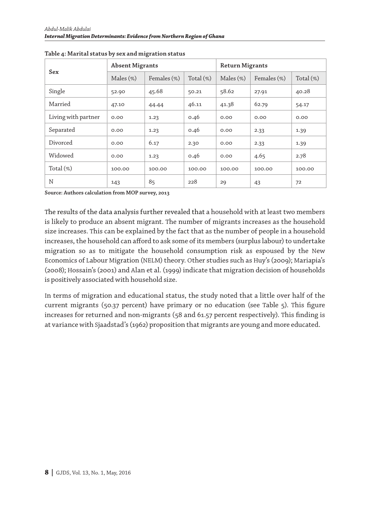| Sex                 | <b>Absent Migrants</b> |                |              | <b>Return Migrants</b> |             |              |  |
|---------------------|------------------------|----------------|--------------|------------------------|-------------|--------------|--|
|                     | Males $(\%)$           | Females $(\%)$ | Total $(\%)$ | Males $(\%)$           | Females (%) | Total $(\%)$ |  |
| Single              | 52.90                  | 45.68          | 50.21        | 58.62                  | 27.91       | 40.28        |  |
| Married             | 47.10                  | 44.44          | 46.11        | 41.38                  | 62.79       | 54.17        |  |
| Living with partner | 0.00                   | 1.23           | 0.46         | 0.00                   | 0.00        | 0.00         |  |
| Separated           | 0.00                   | 1.23           | 0.46         | 0.00                   | 2.33        | 1.39         |  |
| Divorced            | 0.00                   | 6.17           | 2.30         | 0.00                   | 2.33        | 1.39         |  |
| Widowed             | 0.00                   | 1.23           | 0.46         | 0.00                   | 4.65        | 2.78         |  |
| Total $(\%)$        | 100.00                 | 100.00         | 100.00       | 100.00                 | 100.00      | 100.00       |  |
| N                   | 143                    | 85             | 228          | 29                     | 43          | 72           |  |

**Table 4: Marital status by sex and migration status**

**Source: Authors calculation from MOP survey, 2013**

The results of the data analysis further revealed that a household with at least two members is likely to produce an absent migrant. The number of migrants increases as the household size increases. This can be explained by the fact that as the number of people in a household increases, the household can afford to ask some of its members (surplus labour) to undertake migration so as to mitigate the household consumption risk as espoused by the New Economics of Labour Migration (NELM) theory. Other studies such as Huy's (2009); Mariapia's (2008); Hossain's (2001) and Alan et al. (1999) indicate that migration decision of households is positively associated with household size.

In terms of migration and educational status, the study noted that a little over half of the current migrants (50.37 percent) have primary or no education (see Table 5). This figure increases for returned and non-migrants (58 and 61.57 percent respectively). This finding is at variance with Sjaadstad's (1962) proposition that migrants are young and more educated.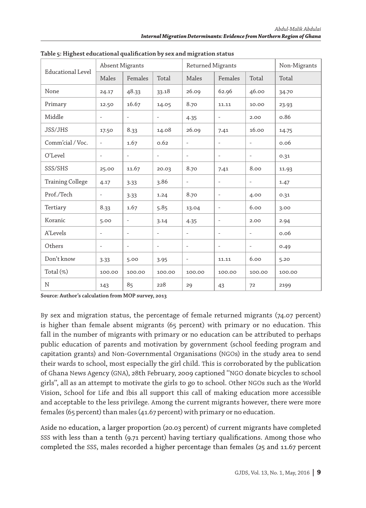|                         |                          | Absent Migrants          |                          | Returned Migrants<br>Non-Migrants |                          |                          |        |
|-------------------------|--------------------------|--------------------------|--------------------------|-----------------------------------|--------------------------|--------------------------|--------|
| Educational Level       | Males                    | Females                  | Total                    | Males                             | Females                  | Total                    | Total  |
| None                    | 24.17                    | 48.33                    | 33.18                    | 26.09                             | 62.96                    | 46.00                    | 34.70  |
| Primary                 | 12.50                    | 16.67                    | 14.05                    | 8.70                              | 11.11                    | 10.00                    | 23.93  |
| Middle                  | $\sim$                   | $\overline{a}$           | $\sim$                   | 4.35                              | $\overline{\phantom{a}}$ | 2.00                     | 0.86   |
| JSS/JHS                 | 17.50                    | 8.33                     | 14.08                    | 26.09                             | 7.41                     | 16.00                    | 14.75  |
| Comm'cial / Voc.        | $\overline{\phantom{a}}$ | 1.67                     | 0.62                     | $\overline{a}$                    | $\overline{\phantom{0}}$ | $\overline{\phantom{a}}$ | 0.06   |
| O'Level                 | $\overline{\phantom{0}}$ | $\sim$                   | $\overline{\phantom{0}}$ | $\overline{\phantom{0}}$          | $\overline{a}$           | $\overline{\phantom{a}}$ | 0.31   |
| SSS/SHS                 | 25.00                    | 11.67                    | 20.03                    | 8.70                              | 7.41                     | 8.00                     | 11.93  |
| <b>Training College</b> | 4.17                     | 3.33                     | 3.86                     | $\overline{\phantom{0}}$          | $\overline{a}$           | $\overline{a}$           | 1.47   |
| Prof./Tech              | $\overline{\phantom{a}}$ | 3.33                     | 1.24                     | 8.70                              | $\overline{\phantom{a}}$ | 4.00                     | 0.31   |
| Tertiary                | 8.33                     | 1.67                     | 5.85                     | 13.04                             | $\overline{\phantom{a}}$ | 6.00                     | 3.00   |
| Koranic                 | 5.00                     | $\overline{\phantom{0}}$ | 3.14                     | 4.35                              | $\overline{\phantom{a}}$ | 2.00                     | 2.94   |
| A'Levels                | $\overline{\phantom{a}}$ | $\overline{\phantom{0}}$ | $\overline{\phantom{0}}$ | $\overline{\phantom{0}}$          | $\overline{\phantom{a}}$ | $\overline{\phantom{a}}$ | 0.06   |
| Others                  | $\overline{\phantom{a}}$ | $\overline{\phantom{a}}$ | $\overline{\phantom{a}}$ | $\overline{\phantom{0}}$          | $\overline{\phantom{a}}$ | $\overline{\phantom{a}}$ | 0.49   |
| Don't know              | 3.33                     | 5.00                     | 3.95                     | $\overline{\phantom{0}}$          | 11.11                    | 6.00                     | 5.20   |
| Total (%)               | 100.00                   | 100.00                   | 100.00                   | 100.00                            | 100.00                   | 100.00                   | 100.00 |
| N                       | 143                      | 85                       | 228                      | 29                                | 43                       | 72                       | 2199   |

**Table 5: Highest educational qualification by sex and migration status**

**Source: Author's calculation from MOP survey, 2013**

By sex and migration status, the percentage of female returned migrants (74.07 percent) is higher than female absent migrants (65 percent) with primary or no education. This fall in the number of migrants with primary or no education can be attributed to perhaps public education of parents and motivation by government (school feeding program and capitation grants) and Non-Governmental Organisations (NGOs) in the study area to send their wards to school, most especially the girl child. This is corroborated by the publication of Ghana News Agency (GNA), 28th February, 2009 captioned ''NGO donate bicycles to school girls'', all as an attempt to motivate the girls to go to school. Other NGOs such as the World Vision, School for Life and Ibis all support this call of making education more accessible and acceptable to the less privilege. Among the current migrants however, there were more females (65 percent) than males (41.67 percent) with primary or no education.

Aside no education, a larger proportion (20.03 percent) of current migrants have completed SSS with less than a tenth (9.71 percent) having tertiary qualifications. Among those who completed the SSS, males recorded a higher percentage than females (25 and 11.67 percent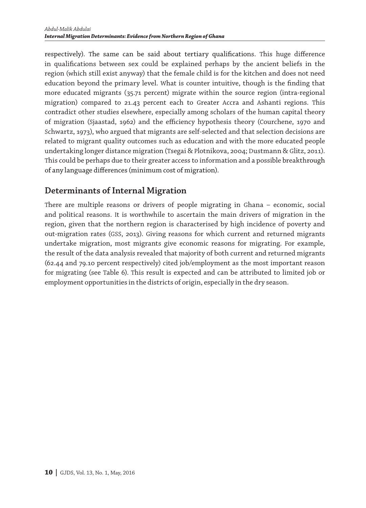respectively). The same can be said about tertiary qualifications. This huge difference in qualifications between sex could be explained perhaps by the ancient beliefs in the region (which still exist anyway) that the female child is for the kitchen and does not need education beyond the primary level. What is counter intuitive, though is the finding that more educated migrants (35.71 percent) migrate within the source region (intra-regional migration) compared to 21.43 percent each to Greater Accra and Ashanti regions. This contradict other studies elsewhere, especially among scholars of the human capital theory of migration (Sjaastad, 1962) and the efficiency hypothesis theory (Courchene, 1970 and Schwartz, 1973), who argued that migrants are self-selected and that selection decisions are related to migrant quality outcomes such as education and with the more educated people undertaking longer distance migration (Tsegai & Plotnikova, 2004; Dustmann & Glitz, 2011). This could be perhaps due to their greater access to information and a possible breakthrough of any language differences (minimum cost of migration).

#### **Determinants of Internal Migration**

There are multiple reasons or drivers of people migrating in Ghana – economic, social and political reasons. It is worthwhile to ascertain the main drivers of migration in the region, given that the northern region is characterised by high incidence of poverty and out-migration rates (GSS, 2013). Giving reasons for which current and returned migrants undertake migration, most migrants give economic reasons for migrating. For example, the result of the data analysis revealed that majority of both current and returned migrants (62.44 and 79.10 percent respectively) cited job/employment as the most important reason for migrating (see Table 6). This result is expected and can be attributed to limited job or employment opportunities in the districts of origin, especially in the dry season.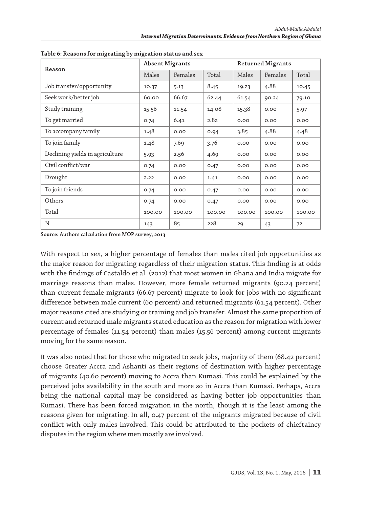| Reason                          | <b>Absent Migrants</b> |         |        | <b>Returned Migrants</b> |         |        |  |
|---------------------------------|------------------------|---------|--------|--------------------------|---------|--------|--|
|                                 | Males                  | Females | Total  | Males                    | Females | Total  |  |
| Job transfer/opportunity        | 10.37                  | 5.13    | 8.45   | 19.23                    | 4.88    | 10.45  |  |
| Seek work/better job            | 60.00                  | 66.67   | 62.44  | 61.54                    | 90.24   | 79.10  |  |
| Study training                  | 15.56                  | 11.54   | 14.08  | 15.38                    | 0.00    | 5.97   |  |
| To get married                  | 0.74                   | 6.41    | 2.82   | 0.00                     | 0.00    | 0.00   |  |
| To accompany family             | 1.48                   | 0.00    | 0.94   | 3.85                     | 4.88    | 4.48   |  |
| To join family                  | 1.48                   | 7.69    | 3.76   | 0.00                     | 0.00    | 0.00   |  |
| Declining yields in agriculture | 5.93                   | 2.56    | 4.69   | 0.00                     | 0.00    | 0.00   |  |
| Civil conflict/war              | 0.74                   | 0.00    | 0.47   | 0.00                     | 0.00    | 0.00   |  |
| Drought                         | 2.22                   | 0.00    | 1.41   | 0.00                     | 0.00    | 0.00   |  |
| To join friends                 | 0.74                   | 0.00    | 0.47   | 0.00                     | 0.00    | 0.00   |  |
| Others                          | 0.74                   | 0.00    | 0.47   | 0.00                     | 0.00    | 0.00   |  |
| Total                           | 100.00                 | 100.00  | 100.00 | 100.00                   | 100.00  | 100.00 |  |
| N                               | 143                    | 85      | 228    | 29                       | 43      | 72     |  |

**Source: Authors calculation from MOP survey, 2013**

With respect to sex, a higher percentage of females than males cited job opportunities as the major reason for migrating regardless of their migration status. This finding is at odds with the findings of Castaldo et al. (2012) that most women in Ghana and India migrate for marriage reasons than males. However, more female returned migrants (90.24 percent) than current female migrants (66.67 percent) migrate to look for jobs with no significant difference between male current (60 percent) and returned migrants (61.54 percent). Other major reasons cited are studying or training and job transfer. Almost the same proportion of current and returned male migrants stated education as the reason for migration with lower percentage of females (11.54 percent) than males (15.56 percent) among current migrants moving for the same reason.

It was also noted that for those who migrated to seek jobs, majority of them (68.42 percent) choose Greater Accra and Ashanti as their regions of destination with higher percentage of migrants (40.60 percent) moving to Accra than Kumasi. This could be explained by the perceived jobs availability in the south and more so in Accra than Kumasi. Perhaps, Accra being the national capital may be considered as having better job opportunities than Kumasi. There has been forced migration in the north, though it is the least among the reasons given for migrating. In all, 0.47 percent of the migrants migrated because of civil conflict with only males involved. This could be attributed to the pockets of chieftaincy disputes in the region where men mostly are involved.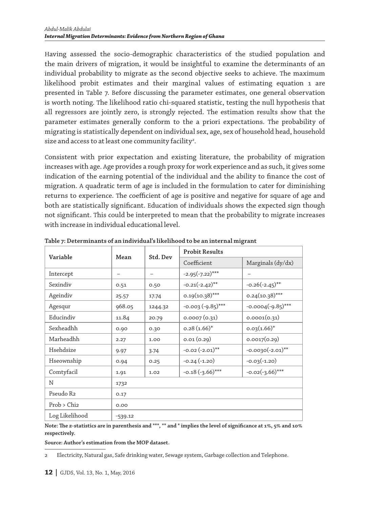Having assessed the socio-demographic characteristics of the studied population and the main drivers of migration, it would be insightful to examine the determinants of an individual probability to migrate as the second objective seeks to achieve. The maximum likelihood probit estimates and their marginal values of estimating equation 1 are presented in Table 7. Before discussing the parameter estimates, one general observation is worth noting. The likelihood ratio chi-squared statistic, testing the null hypothesis that all regressors are jointly zero, is strongly rejected. The estimation results show that the parameter estimates generally conform to the a priori expectations. The probability of migrating is statistically dependent on individual sex, age, sex of household head, household size and access to at least one community facility<sup>2</sup>.

Consistent with prior expectation and existing literature, the probability of migration increases with age. Age provides a rough proxy for work experience and as such, it gives some indication of the earning potential of the individual and the ability to finance the cost of migration. A quadratic term of age is included in the formulation to cater for diminishing returns to experience. The coefficient of age is positive and negative for square of age and both are statistically significant. Education of individuals shows the expected sign though not significant. This could be interpreted to mean that the probability to migrate increases with increase in individual educational level.

| Variable       | Mean      | Std. Dev          | <b>Probit Results</b> |                              |  |  |  |
|----------------|-----------|-------------------|-----------------------|------------------------------|--|--|--|
|                |           |                   | Coefficient           | Marginals (dy/dx)            |  |  |  |
| Intercept      | -         | $\qquad \qquad -$ | $-2.95(-7.22)$ ***    |                              |  |  |  |
| Sexindiv       | 0.51      | 0.50              | $-0.21(-2.42)$ **     | $-0.26(-2.45)$ <sup>**</sup> |  |  |  |
| Ageindiv       | 25.57     | 17.74             | $0.19(10.38)$ ***     | $0.24(10.38)$ ***            |  |  |  |
| Agesqur        | 968.05    | 1244.32           | $-0.003(-9.85)$ ***   | $-0.0004(-9.85)$ ***         |  |  |  |
| Educindiv      | 11.84     | 20.79             | 0.0007(0.31)          | 0.0001(0.31)                 |  |  |  |
| Sexheadhh      | 0.90      | 0.30              | $0.28(1.66)^*$        | $0.03(1.66)^*$               |  |  |  |
| Marheadhh      | 2.27      | 1.00              | 0.01(0.29)            | 0.0017(0.29)                 |  |  |  |
| Hsehdsize      | 9.97      | 3.74              | $-0.02$ $(-2.01)$ **  | $-0.0030(-2.01)$ **          |  |  |  |
| Hseownship     | 0.94      | 0.25              | $-0.24(-1.20)$        | $-0.03(-1.20)$               |  |  |  |
| Comtyfacil     | 1.91      | 1.02              | $-0.18(-3.66)$ ***    | $-0.02(-3.66)$ ***           |  |  |  |
| N              | 1732      |                   |                       |                              |  |  |  |
| Pseudo R2      | 0.17      |                   |                       |                              |  |  |  |
| Prob > Chi2    | 0.00      |                   |                       |                              |  |  |  |
| Log Likelihood | $-539.12$ |                   |                       |                              |  |  |  |

**Table 7: Determinants of an individual's likelihood to be an internal migrant**

**Note: The z-statistics are in parenthesis and \*\*\*, \*\* and \* implies the level of significance at 1%, 5% and 10% respectively.**

**Source: Author's estimation from the MOP dataset.**

2 Electricity, Natural gas, Safe drinking water, Sewage system, Garbage collection and Telephone.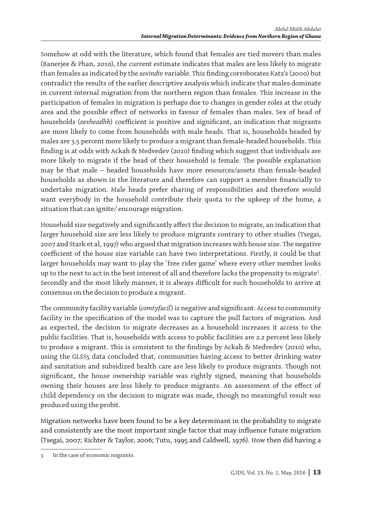Somehow at odd with the literature, which found that females are tied movers than males (Banerjee & Phan, 2010), the current estimate indicates that males are less likely to migrate than females as indicated by the *sexindiv* variable. This finding corroborates Katz's (2000) but contradict the results of the earlier descriptive analysis which indicate that males dominate in current internal migration from the northern region than females. This increase in the participation of females in migration is perhaps due to changes in gender roles at the study area and the possible effect of networks in favour of females than males. Sex of head of households (*sexheadhh*) coefficient is positive and significant, an indication that migrants are more likely to come from households with male heads. That is, households headed by males are 3.5 percent more likely to produce a migrant than female-headed households. This finding is at odds with Ackah & Medvedev (2010) finding which suggest that individuals are more likely to migrate if the head of their household is female. The possible explanation may be that male – headed households have more resources/assets than female-headed households as shown in the literature and therefore can support a member financially to undertake migration. Male heads prefer sharing of responsibilities and therefore would want everybody in the household contribute their quota to the upkeep of the home, a situation that can ignite/ encourage migration.

Household size negatively and significantly affect the decision to migrate, an indication that larger household size are less likely to produce migrants contrary to other studies (Tsegai, 2007 and Stark et al, 1997) who argued that migration increases with house size. The negative coefficient of the house size variable can have two interpretations. Firstly, it could be that larger households may want to play the 'free rider game' where every other member looks up to the next to act in the best interest of all and therefore lacks the propensity to migrate<sup>3</sup>. Secondly and the most likely manner, it is always difficult for such households to arrive at consensus on the decision to produce a migrant.

The community facility variable (*comtyfacil*) is negative and significant. Access to community facility in the specification of the model was to capture the pull factors of migration. And as expected, the decision to migrate decreases as a household increases it access to the public facilities. That is, households with access to public facilities are 2.2 percent less likely to produce a migrant. This is consistent to the findings by Ackah & Medvedev (2010) who, using the GLSS5 data concluded that, communities having access to better drinking water and sanitation and subsidized health care are less likely to produce migrants. Though not significant, the house ownership variable was rightly signed, meaning that households owning their houses are less likely to produce migrants. An assessment of the effect of child dependency on the decision to migrate was made, though no meaningful result was produced using the probit.

Migration networks have been found to be a key determinant in the probability to migrate and consistently are the most important single factor that may influence future migration (Tsegai, 2007; Richter & Taylor, 2006; Tutu, 1995 and Caldwell, 1976). How then did having a

<sup>3</sup> In the case of economic migrants.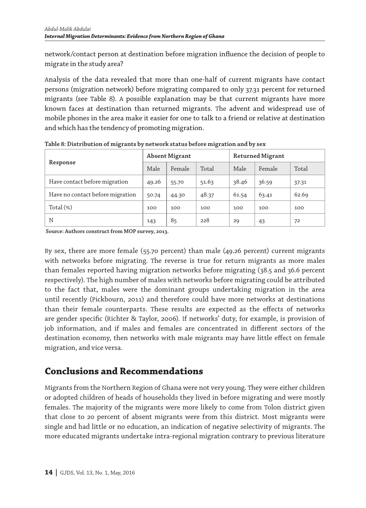network/contact person at destination before migration influence the decision of people to migrate in the study area?

Analysis of the data revealed that more than one-half of current migrants have contact persons (migration network) before migrating compared to only 37.31 percent for returned migrants (see Table 8). A possible explanation may be that current migrants have more known faces at destination than returned migrants. The advent and widespread use of mobile phones in the area make it easier for one to talk to a friend or relative at destination and which has the tendency of promoting migration.

|                                  | <b>Absent Migrant</b> |        |       | <b>Returned Migrant</b> |        |       |
|----------------------------------|-----------------------|--------|-------|-------------------------|--------|-------|
| Response                         | Male                  | Female | Total | Male                    | Female | Total |
| Have contact before migration    | 49.26                 | 55.70  | 51.63 | 38.46                   | 36.59  | 37.31 |
| Have no contact before migration | 50.74                 | 44.30  | 48.37 | 61.54                   | 63.41  | 62.69 |
| Total $(\%)$                     | 100                   | 100    | 100   | 100                     | 100    | 100   |
| N                                | 143                   | 85     | 228   | 29                      | 43     | 72    |

**Table 8: Distribution of migrants by network status before migration and by sex**

 **Source: Authors construct from MOP survey, 2013.**

By sex, there are more female (55.70 percent) than male (49.26 percent) current migrants with networks before migrating. The reverse is true for return migrants as more males than females reported having migration networks before migrating (38.5 and 36.6 percent respectively). The high number of males with networks before migrating could be attributed to the fact that, males were the dominant groups undertaking migration in the area until recently (Pickbourn, 2011) and therefore could have more networks at destinations than their female counterparts. These results are expected as the effects of networks are gender specific (Richter & Taylor, 2006). If networks' duty, for example, is provision of job information, and if males and females are concentrated in different sectors of the destination economy, then networks with male migrants may have little effect on female migration, and vice versa.

## **Conclusions and Recommendations**

Migrants from the Northern Region of Ghana were not very young. They were either children or adopted children of heads of households they lived in before migrating and were mostly females. The majority of the migrants were more likely to come from Tolon district given that close to 20 percent of absent migrants were from this district. Most migrants were single and had little or no education, an indication of negative selectivity of migrants. The more educated migrants undertake intra-regional migration contrary to previous literature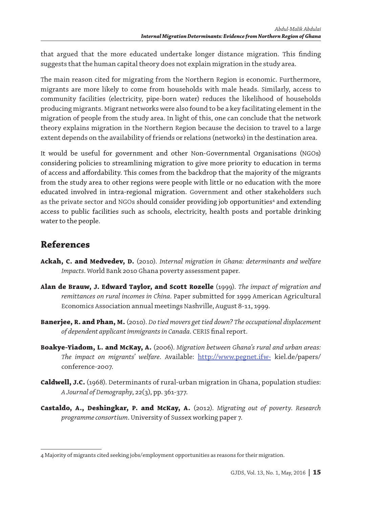that argued that the more educated undertake longer distance migration. This finding suggests that the human capital theory does not explain migration in the study area.

The main reason cited for migrating from the Northern Region is economic. Furthermore, migrants are more likely to come from households with male heads. Similarly, access to community facilities (electricity, pipe-born water) reduces the likelihood of households producing migrants. Migrant networks were also found to be a key facilitating element in the migration of people from the study area. In light of this, one can conclude that the network theory explains migration in the Northern Region because the decision to travel to a large extent depends on the availability of friends or relations (networks) in the destination area.

It would be useful for government and other Non-Governmental Organisations (NGOs) considering policies to streamlining migration to give more priority to education in terms of access and affordability. This comes from the backdrop that the majority of the migrants from the study area to other regions were people with little or no education with the more educated involved in intra-regional migration. Government and other stakeholders such as the private sector and NGOs should consider providing job opportunities<sup>4</sup> and extending access to public facilities such as schools, electricity, health posts and portable drinking water to the people.

#### **References**

- **Ackah, C. and Medvedev, D.** (2010). *Internal migration in Ghana: determinants and welfare Impacts*. World Bank 2010 Ghana poverty assessment paper.
- **Alan de Brauw, J. Edward Taylor, and Scott Rozelle** (1999). *The impact of migration and remittances on rural incomes in China*. Paper submitted for 1999 American Agricultural Economics Association annual meetings Nashville, August 8-11, 1999.
- **Banerjee, R. and Phan, M.** (2010). *Do tied movers get tied down? The occupational displacement of dependent applicant immigrants in Canada*. CERIS final report.
- **Boakye-Yiadom, L. and McKay, A.** (2006). *Migration between Ghana's rural and urban areas: The impact on migrants' welfare*. Available: http://www.pegnet.ifw- kiel.de/papers/ conference-2007.
- **Caldwell, J.C.** (1968). Determinants of rural-urban migration in Ghana, population studies: *A Journal of Demography*, 22(3), pp. 361-377.
- **Castaldo, A., Deshingkar, P. and McKay, A.** (2012). *Migrating out of poverty. Research programme consortium*. University of Sussex working paper 7.

<sup>4</sup> Majority of migrants cited seeking jobs/employment opportunities as reasons for their migration.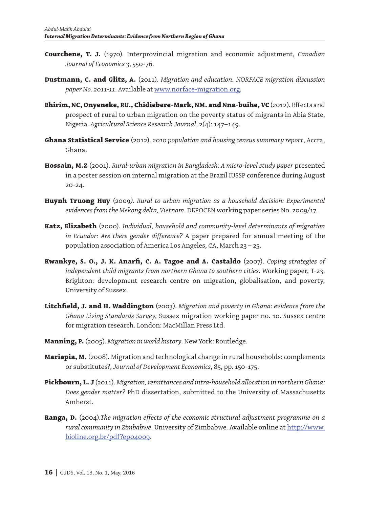- **Courchene, T. J.** (1970). Interprovincial migration and economic adjustment, *Canadian Journal of Economics* 3, 550-76.
- **Dustmann, C. and Glitz, A.** (2011). *Migration and education. NORFACE migration discussion paper No. 2011-11*. Available at www.norface-migration.org.
- **Ehirim, NC, Onyeneke, RU., Chidiebere-Mark, NM. and Nna-buihe, VC** (2012). Effects and prospect of rural to urban migration on the poverty status of migrants in Abia State, Nigeria. *Agricultural Science Research Journal*, 2(4): 147–149.
- **Ghana Statistical Service** (2012). *2010 population and housing census summary report*, Accra, Ghana.
- **Hossain, M.Z** (2001). *Rural-urban migration in Bangladesh: A micro-level study paper* presented in a poster session on internal migration at the Brazil IUSSP conference during August 20-24.
- **Huynh Truong Huy** (2009*). Rural to urban migration as a household decision: Experimental evidences from the Mekong delta, Vietnam*. DEPOCEN working paper series No. 2009/17.
- **Katz, Elizabeth** (2000). *Individual, household and community-level determinants of migration in Ecuador: Are there gender difference?* A paper prepared for annual meeting of the population association of America Los Angeles, CA, March 23 – 25.
- **Kwankye, S. O., J. K. Anarfi, C. A. Tagoe and A. Castaldo** (2007). *Coping strategies of independent child migrants from northern Ghana to southern cities*. Working paper, T-23. Brighton: development research centre on migration, globalisation, and poverty, University of Sussex.
- **Litchfield, J. and H. Waddington** (2003). *Migration and poverty in Ghana: evidence from the Ghana Living Standards Survey*, Sussex migration working paper no. 10. Sussex centre for migration research. London: MacMillan Press Ltd.
- **Manning, P.** (2005). *Migration in world history*. New York: Routledge.
- **Mariapia, M.** (2008). Migration and technological change in rural households: complements or substitutes?, *Journal of Development Economics*, 85, pp. 150-175.
- **Pickbourn, L. J** (2011). *Migration, remittances and intra-household allocation in northern Ghana: Does gender matter?* PhD dissertation, submitted to the University of Massachusetts Amherst.
- **Ranga, D.** (2004).*The migration effects of the economic structural adjustment programme on a rural community in Zimbabwe*. University of Zimbabwe. Available online at http://www. bioline.org.br/pdf?ep04009.